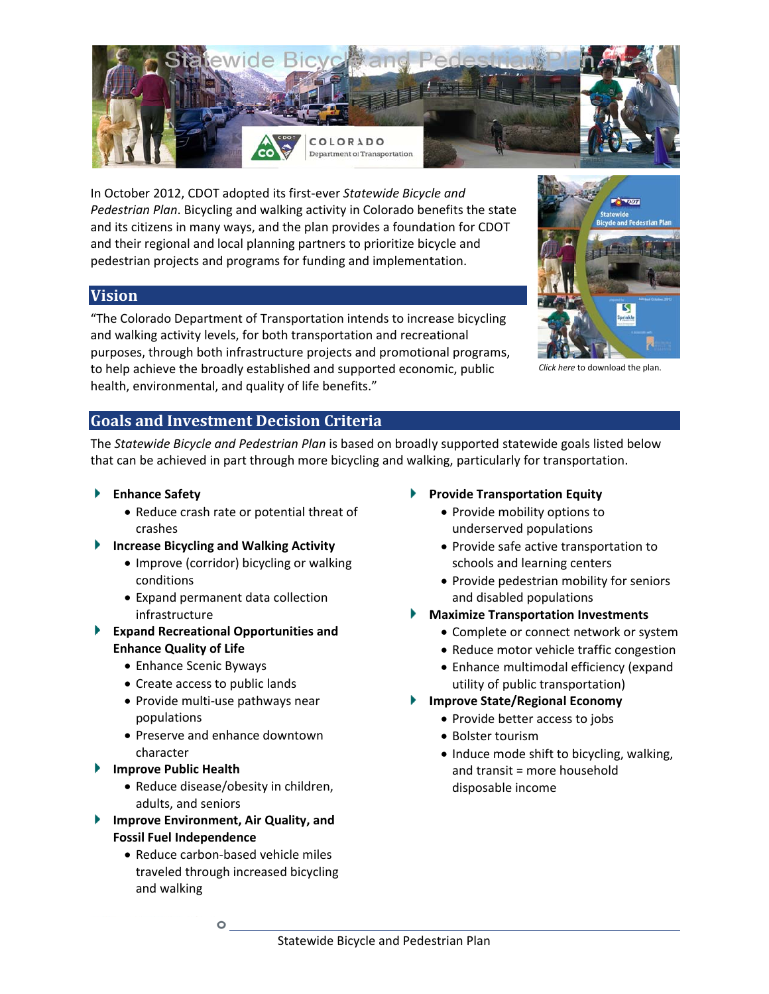

In October 2012, CDOT adopted its first-ever Statewide Bicycle and Pedestrian Plan. Bicycling and walking activity in Colorado benefits the state and its citizens in many ways, and the plan provides a foundation for CDOT and their regional and local planning partners to prioritize bicycle and pedestrian projects and programs for funding and implementation.

### **Vision**

"The Colorado Department of Transportation intends to increase bicycling and walking activity levels, for both transportation and recreational purposes, through both infrastructure projects and promotional programs, to help achieve the broadly established and supported economic, public health, environmental, and quality of life benefits."



Click here to download the plan.

#### **Goals and Investment Decision Criteria**

The Statewide Bicycle and Pedestrian Plan is based on broadly supported statewide goals listed below that can be achieved in part through more bicycling and walking, particularly for transportation.

#### $\blacktriangleright$  Enhance Safety

- Reduce crash rate or potential threat of crashes
- Increase Bicycling and Walking Activity
	- Improve (corridor) bicycling or walking conditions
	- Expand permanent data collection infrastructure
- Expand Recreational Opportunities and **Enhance Quality of Life** 
	- Enhance Scenic Byways
	- Create access to public lands
	- Provide multi-use pathways near populations
	- Preserve and enhance downtown character
- Improve Public Health
	- Reduce disease/obesity in children, adults, and seniors
- Improve Environment, Air Quality, and **Fossil Fuel Independence** 
	- Reduce carbon-based vehicle miles traveled through increased bicycling and walking

#### ▶ Provide Transportation Equity

- Provide mobility options to underserved populations
- Provide safe active transportation to schools and learning centers
- Provide pedestrian mobility for seniors and disabled populations
- **Maximize Transportation Investments** 
	- Complete or connect network or system
	- Reduce motor vehicle traffic congestion
	- Enhance multimodal efficiency (expand utility of public transportation)
- Improve State/Regional Economy
	- Provide better access to jobs
	- Bolster tourism
	- Induce mode shift to bicycling, walking, and transit = more household disposable income